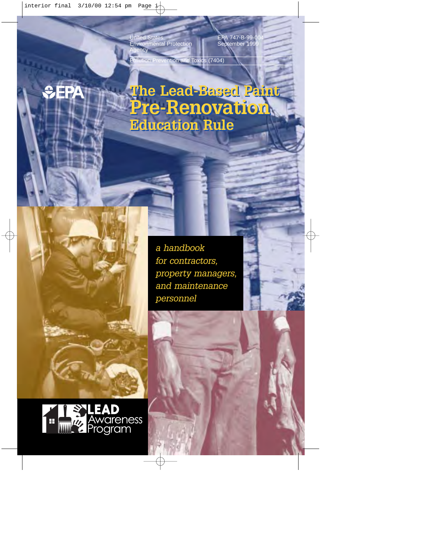United States Environmental Protection *<u>iency</u>* 

EPA 747-B-99-0 September 199

ention and Toxics (7404)

**The Lead-Based Paint The Lead-Based Paint Pre-Renovation Pre-Renovation Education Rule Education Rule**

> *a handbook for contractors, property managers, and maintenance personnel*

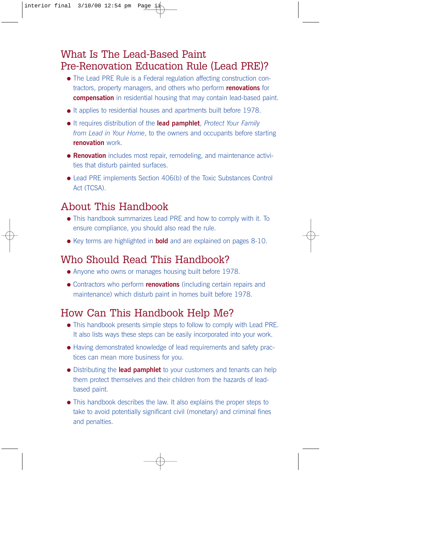### What Is The Lead-Based Paint Pre-Renovation Education Rule (Lead PRE)?

- The Lead PRE Rule is a Federal regulation affecting construction contractors, property managers, and others who perform **renovations** for **compensation** in residential housing that may contain lead-based paint.
- It applies to residential houses and apartments built before 1978.
- It requires distribution of the **lead pamphlet**, *Protect Your Family from Lead in Your Home*, to the owners and occupants before starting **renovation** work.
- **Renovation** includes most repair, remodeling, and maintenance activities that disturb painted surfaces.
- Lead PRE implements Section 406(b) of the Toxic Substances Control Act (TCSA).

#### About This Handbook

- This handbook summarizes Lead PRE and how to comply with it. To ensure compliance, you should also read the rule.
- Key terms are highlighted in **bold** and are explained on pages 8-10.

### Who Should Read This Handbook?

- Anyone who owns or manages housing built before 1978.
- Contractors who perform **renovations** (including certain repairs and maintenance) which disturb paint in homes built before 1978.

### How Can This Handbook Help Me?

- This handbook presents simple steps to follow to comply with Lead PRE. It also lists ways these steps can be easily incorporated into your work.
- Having demonstrated knowledge of lead requirements and safety practices can mean more business for you.
- Distributing the **lead pamphlet** to your customers and tenants can help them protect themselves and their children from the hazards of leadbased paint.
- This handbook describes the law. It also explains the proper steps to take to avoid potentially significant civil (monetary) and criminal fines and penalties.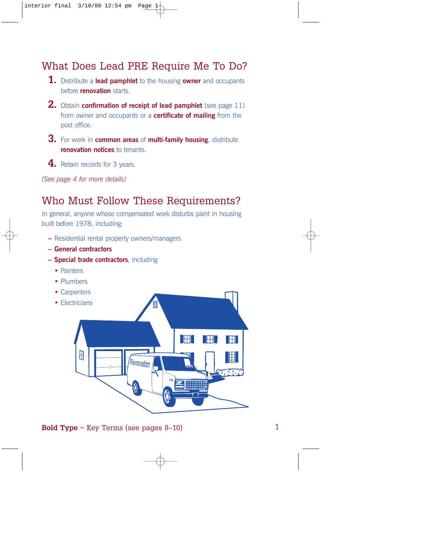### What Does Lead PRE Require Me To Do?

- **1.** Distribute a **lead pamphlet** to the housing **owner** and occupants before **renovation** starts.
- **2.** Obtain **confirmation of receipt of lead pamphlet** (see page 11) from owner and occupants or a **certificate of mailing** from the post office.
- **3.** For work in **common areas** of **multi-family housing**, distribute **renovation notices** to tenants.
- **4.** Retain records for 3 years.

*(See page 4 for more details)*

#### Who Must Follow These Requirements?

In general, anyone whose compensated work disturbs paint in housing built before 1978, including:

- **–** Residential rental property owners/managers
- **General contractors**
- **Special trade contractors**, including
	- **•** Painters
	- **•** Plumbers
	- **•** Carpenters



**Bold Type** = Key Terms (see pages 8–10) 1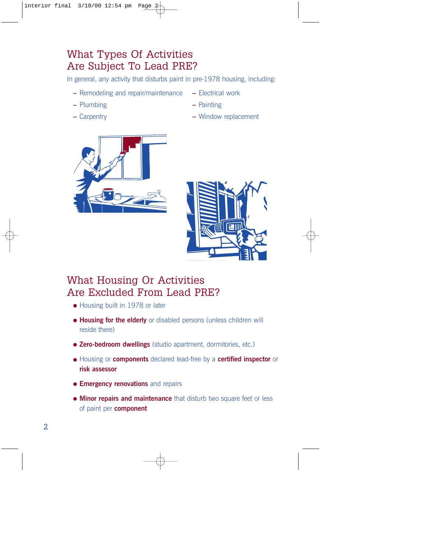# What Types Of Activities Are Subject To Lead PRE?

In general, any activity that disturbs paint in pre-1978 housing, including:

- **–** Remodeling and repair/maintenance **–** Electrical work
- **–** Plumbing **–** Painting
- 
- 
- 
- **–** Carpentry **–** Window replacement





### What Housing Or Activities Are Excluded From Lead PRE?

- Housing built in 1978 or later
- **Housing for the elderly** or disabled persons (unless children will reside there)
- **Zero-bedroom dwellings** (studio apartment, dormitories, etc.)
- Housing or **components** declared lead-free by a **certified inspector** or **risk assessor**
- **Emergency renovations** and repairs
- **Minor repairs and maintenance** that disturb two square feet or less of paint per **component**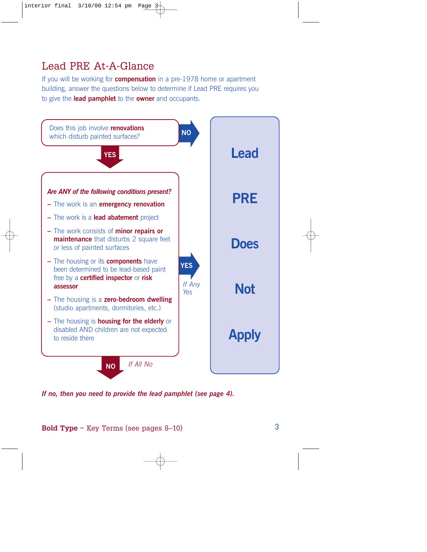# Lead PRE At-A-Glance

If you will be working for **compensation** in a pre-1978 home or apartment building, answer the questions below to determine if Lead PRE requires you to give the **lead pamphlet** to the **owner** and occupants.



*If no, then you need to provide the lead pamphlet (see page 4).*

**Bold Type** = Key Terms (see pages 8–10)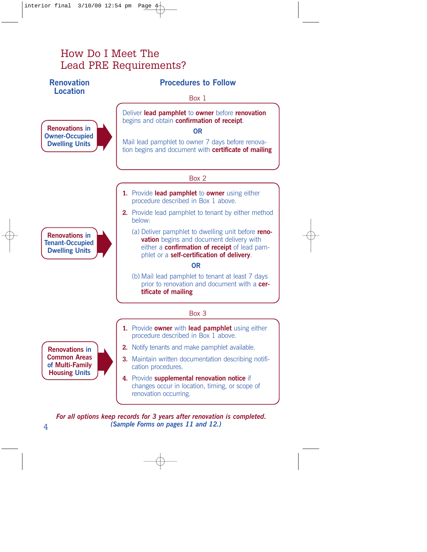### How Do I Meet The Lead PRE Requirements?

#### **Renovation Location**

**Renovations in Owner-Occupied Dwelling Units**

#### **Procedures to Follow**

Box 1

Deliver **lead pamphlet** to **owner** before **renovation** begins and obtain **confirmation of receipt**.

**OR**

Mail lead pamphlet to owner 7 days before renovation begins and document with **certificate of mailing**

Box 2

- **1.** Provide **lead pamphlet** to **owner** using either procedure described in Box 1 above.
- **2.** Provide lead pamphlet to tenant by either method below:
	- (a) Deliver pamphlet to dwelling unit before **renovation** begins and document delivery with either a **confirmation of receipt** of lead pamphlet or a **self-certification of delivery**.

**OR**

(b) Mail lead pamphlet to tenant at least 7 days prior to renovation and document with a **certificate of mailing**

#### Box 3

- **1.** Provide **owner** with **lead pamphlet** using either procedure described in Box 1 above.
- **2.** Notify tenants and make pamphlet available.
- **3.** Maintain written documentation describing notification procedures.
- **4.** Provide **supplemental renovation notice** if changes occur in location, timing, or scope of renovation occurring.

*For all options keep records for 3 years after renovation is completed. (Sample Forms on pages 11 and 12.)*

**Renovations in Common Areas of Multi-Family Housing Units**

**Renovations in Tenant-Occupied Dwelling Units**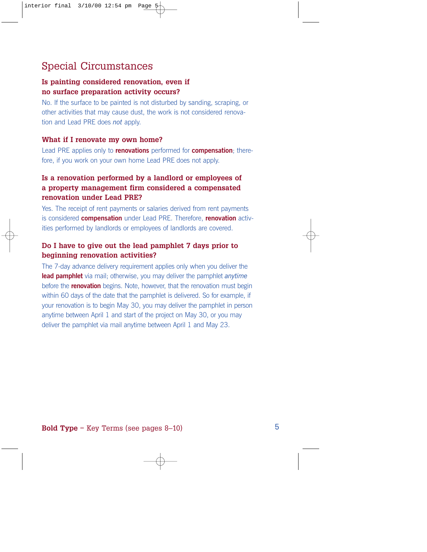### Special Circumstances

#### **Is painting considered renovation, even if no surface preparation activity occurs?**

No. If the surface to be painted is not disturbed by sanding, scraping, or other activities that may cause dust, the work is not considered renovation and Lead PRE does *not* apply.

#### **What if I renovate my own home?**

Lead PRE applies only to **renovations** performed for **compensation**; therefore, if you work on your own home Lead PRE does not apply.

#### **Is a renovation performed by a landlord or employees of a property management firm considered a compensated renovation under Lead PRE?**

Yes. The receipt of rent payments or salaries derived from rent payments is considered **compensation** under Lead PRE. Therefore, **renovation** activities performed by landlords or employees of landlords are covered.

#### **Do I have to give out the lead pamphlet 7 days prior to beginning renovation activities?**

The 7-day advance delivery requirement applies only when you deliver the **lead pamphlet** via mail; otherwise, you may deliver the pamphlet *anytime* before the **renovation** begins. Note, however, that the renovation must begin within 60 days of the date that the pamphlet is delivered. So for example, if your renovation is to begin May 30, you may deliver the pamphlet in person anytime between April 1 and start of the project on May 30, or you may deliver the pamphlet via mail anytime between April 1 and May 23.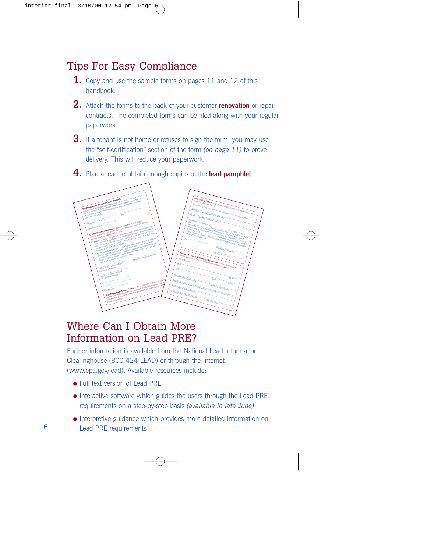### Tips For Easy Compliance

- **1.** Copy and use the sample forms on pages 11 and 12 of this handbook.
- **2.** Attach the forms to the back of your customer **renovation** or repair contracts. The completed forms can be filed along with your regular paperwork.
- **3.** If a tenant is not home or refuses to sign the form, you may use the "self-certification" section of the form *(on page 11)* to prove delivery. This will reduce your paperwork.

**4.** Plan ahead to obtain enough copies of the **lead pamphlet**.



#### Where Can I Obtain More Information on Lead PRE?

Further information is available from the National Lead Information Clearinghouse (800-424-LEAD) or through the Internet (www.epa.gov/lead). Available resources include:

- Full text version of Lead PRF
- Interactive software which guides the users through the Lead PRE requirements on a step-by-step basis *(available in late June)*
- Interpretive guidance which provides more detailed information on 6 Lead PRE requirements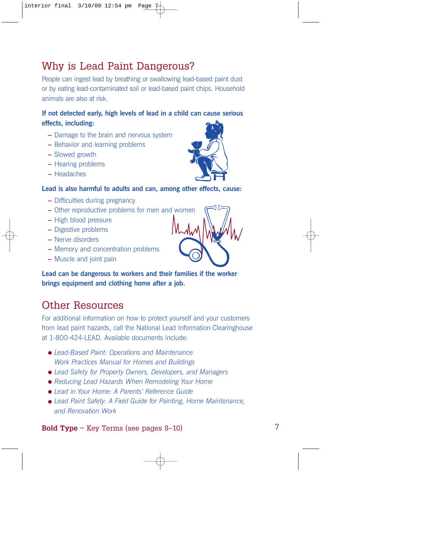# **Bold Type** = Key Terms (see pages 8–10) 7

# Why is Lead Paint Dangerous?

People can ingest lead by breathing or swallowing lead-based paint dust or by eating lead-contaminated soil or lead-based paint chips. Household animals are also at risk.

#### **If not detected early, high levels of lead in a child can cause serious effects, including:**

- **–** Damage to the brain and nervous system
- **–** Behavior and learning problems
- **–** Slowed growth
- **–** Hearing problems
- **–** Headaches

#### **Lead is also harmful to adults and can, among other effects, cause:**

- **–** Difficulties during pregnancy
- **–** Other reproductive problems for men and women
- **–** High blood pressure
- **–** Digestive problems
- **–** Nerve disorders
- **–** Memory and concentration problems
- **–** Muscle and joint pain

**Lead can be dangerous to workers and their families if the worker brings equipment and clothing home after a job.**

# Other Resources

For additional information on how to protect yourself and your customers from lead paint hazards, call the National Lead Information Clearinghouse at 1-800-424-LEAD. Available documents include:

- *Lead-Based Paint: Operations and Maintenance Work Practices Manual for Homes and Buildings*
- *Lead Safety for Property Owners, Developers, and Managers*
- *Reducing Lead Hazards When Remodeling Your Home*
- *Lead in Your Home: A Parents' Reference Guide*
- *Lead Paint Safety: A Field Guide for Painting, Home Maintenance, and Renovation Work*



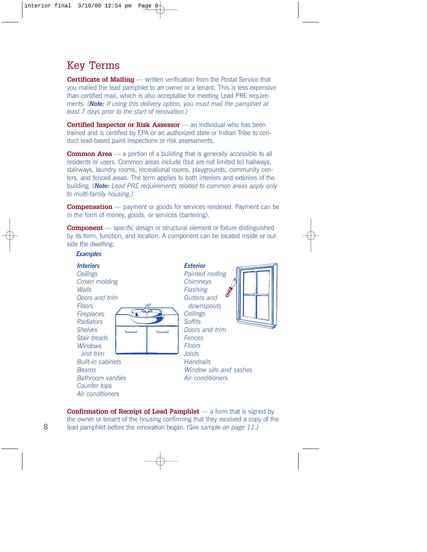### Key Terms

**Certificate of Mailing** — written verification from the Postal Service that you mailed the lead pamphlet to an owner or a tenant. This is less expensive than certified mail, which is also acceptable for meeting Lead PRE requirements. *(Note: If using this delivery option, you must mail the pamphlet at least 7 days prior to the start of renovation.)*

**Certified Inspector or Risk Assessor** — an individual who has been trained and is certified by EPA or an authorized state or Indian Tribe to conduct lead-based paint inspections or risk assessments.

**Common Area** — a portion of a building that is generally accessible to all residents or users. Common areas include (but are not limited to) hallways, stairways, laundry rooms, recreational rooms, playgrounds, community centers, and fenced areas. The term applies to both interiors and exteriors of the building. *(Note: Lead PRE requirements related to common areas apply only to multi-family housing.)*

**Compensation** — payment or goods for services rendered. Payment can be in the form of money, goods, or services (bartering).

**Component** — specific design or structural element or fixture distinguished by its form, function, and location. A component can be located inside or outside the dwelling.



**Confirmation of Receipt of Lead Pamphlet** — a form that is signed by the owner or tenant of the housing confirming that they received a copy of the lead pamphlet before the renovation began. *(See sample on page 11.)*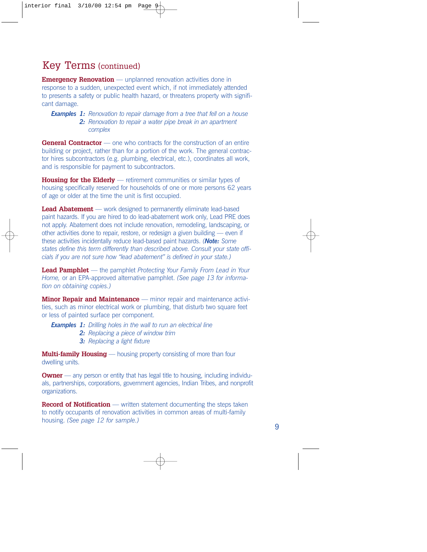### Key Terms (continued)

**Emergency Renovation** — unplanned renovation activities done in response to a sudden, unexpected event which, if not immediately attended to presents a safety or public health hazard, or threatens property with significant damage.

#### *Examples 1: Renovation to repair damage from a tree that fell on a house 2: Renovation to repair a water pipe break in an apartment complex*

**General Contractor** — one who contracts for the construction of an entire building or project, rather than for a portion of the work. The general contractor hires subcontractors (e.g. plumbing, electrical, etc.), coordinates all work, and is responsible for payment to subcontractors.

**Housing for the Elderly** — retirement communities or similar types of housing specifically reserved for households of one or more persons 62 years of age or older at the time the unit is first occupied.

**Lead Abatement** — work designed to permanently eliminate lead-based paint hazards. If you are hired to do lead-abatement work only, Lead PRE does not apply. Abatement does not include renovation, remodeling, landscaping, or other activities done to repair, restore, or redesign a given building — even if these activities incidentally reduce lead-based paint hazards. *(Note: Some states define this term differently than described above. Consult your state officials if you are not sure how "lead abatement" is defined in your state.)*

**Lead Pamphlet** — the pamphlet *Protecting Your Family From Lead in Your Home,* or an EPA-approved alternative pamphlet. *(See page 13 for information on obtaining copies.)*

**Minor Repair and Maintenance** — minor repair and maintenance activities, such as minor electrical work or plumbing, that disturb two square feet or less of painted surface per component.

*Examples 1: Drilling holes in the wall to run an electrical line*

- *2: Replacing a piece of window trim*
- *3: Replacing a light fixture*

**Multi-family Housing** — housing property consisting of more than four dwelling units.

**Owner** — any person or entity that has legal title to housing, including individuals, partnerships, corporations, government agencies, Indian Tribes, and nonprofit organizations.

**Record of Notification** — written statement documenting the steps taken to notify occupants of renovation activities in common areas of multi-family housing. *(See page 12 for sample.)*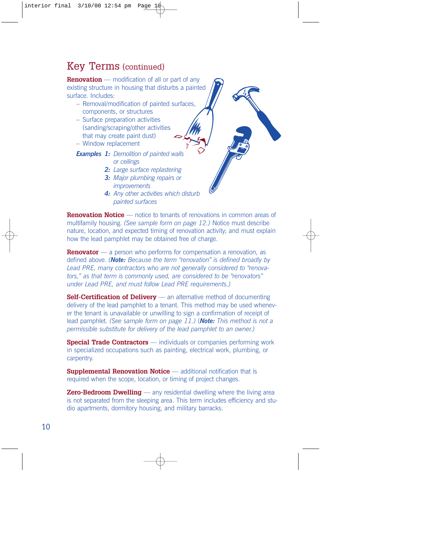#### Key Terms (continued)

**Renovation** — modification of all or part of any existing structure in housing that disturbs a painted surface. Includes:

- Removal/modification of painted surfaces, components, or structures
- Surface preparation activities (sanding/scraping/other activities that may create paint dust)
- Window replacement
- *Examples 1: Demolition of painted walls or ceilings*
	- *2: Large surface replastering*
	- *3: Major plumbing repairs or improvements*
	- *4: Any other activities which disturb painted surfaces*

**Renovation Notice** — notice to tenants of renovations in common areas of multifamily housing. *(See sample form on page 12.)* Notice must describe nature, location, and expected timing of renovation activity; and must explain how the lead pamphlet may be obtained free of charge.

**Renovator** — a person who performs for compensation a renovation, as defined above. *(Note: Because the term "renovation" is defined broadly by Lead PRE, many contractors who are not generally considered to "renovators," as that term is commonly used, are considered to be "renovators" under Lead PRE, and must follow Lead PRE requirements.)*

**Self-Certification of Delivery** — an alternative method of documenting delivery of the lead pamphlet to a tenant. This method may be used whenever the tenant is unavailable or unwilling to sign a confirmation of receipt of lead pamphlet. *(See sample form on page 11.)* (*Note: This method is not a permissible substitute for delivery of the lead pamphlet to an owner.)*

**Special Trade Contractors** — individuals or companies performing work in specialized occupations such as painting, electrical work, plumbing, or carpentry.

**Supplemental Renovation Notice** — additional notification that is required when the scope, location, or timing of project changes.

**Zero-Bedroom Dwelling** — any residential dwelling where the living area is not separated from the sleeping area. This term includes efficiency and studio apartments, dormitory housing, and military barracks.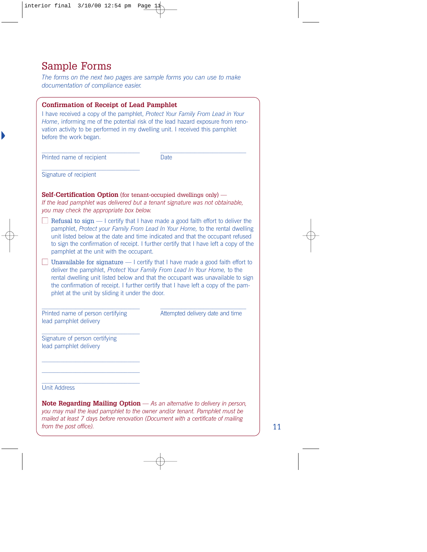### Sample Forms

*The forms on the next two pages are sample forms you can use to make documentation of compliance easier.*

| <b>Confirmation of Receipt of Lead Pamphlet</b><br>vation activity to be performed in my dwelling unit. I received this pamphlet<br>before the work began. | I have received a copy of the pamphlet, Protect Your Family From Lead in Your<br>Home, informing me of the potential risk of the lead hazard exposure from reno-                                                                                                                                                                           |
|------------------------------------------------------------------------------------------------------------------------------------------------------------|--------------------------------------------------------------------------------------------------------------------------------------------------------------------------------------------------------------------------------------------------------------------------------------------------------------------------------------------|
| Printed name of recipient                                                                                                                                  | <b>Date</b>                                                                                                                                                                                                                                                                                                                                |
| Signature of recipient                                                                                                                                     |                                                                                                                                                                                                                                                                                                                                            |
| <b>Self-Certification Option</b> (for tenant-occupied dwellings only) —<br>you may check the appropriate box below.                                        | If the lead pamphlet was delivered but a tenant signature was not obtainable,                                                                                                                                                                                                                                                              |
| pamphlet at the unit with the occupant.                                                                                                                    | Refusal to sign - I certify that I have made a good faith effort to deliver the<br>pamphlet, Protect your Family From Lead In Your Home, to the rental dwelling<br>unit listed below at the date and time indicated and that the occupant refused<br>to sign the confirmation of receipt. I further certify that I have left a copy of the |
| phlet at the unit by sliding it under the door.                                                                                                            | Unavailable for signature - I certify that I have made a good faith effort to<br>deliver the pamphlet, Protect Your Family From Lead In Your Home, to the<br>rental dwelling unit listed below and that the occupant was unavailable to sign<br>the confirmation of receipt. I further certify that I have left a copy of the pam-         |
| Printed name of person certifying<br>lead pamphlet delivery                                                                                                | Attempted delivery date and time                                                                                                                                                                                                                                                                                                           |
| Signature of person certifying<br>lead pamphlet delivery                                                                                                   |                                                                                                                                                                                                                                                                                                                                            |
| <b>Unit Address</b><br>Note Degreeding Meiling Ontion                                                                                                      | As an offernative to delivery in nord                                                                                                                                                                                                                                                                                                      |

**Note Regarding Mailing Option** *— As an alternative to delivery in person, you may mail the lead pamphlet to the owner and/or tenant. Pamphlet must be mailed at least 7 days before renovation (Document with a certificate of mailing from the post office).* 11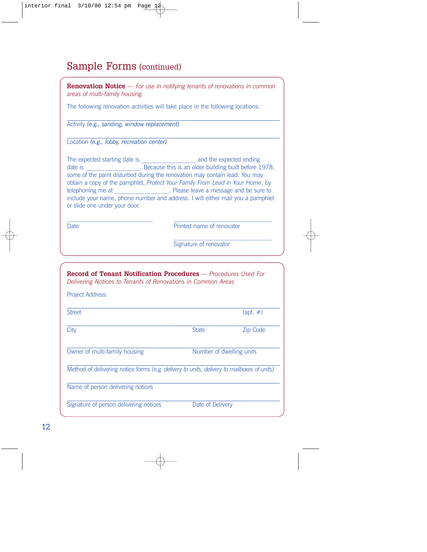# Sample Forms (continued)

| areas of multi-family housing.                                                                                                                                                                                                                                                 | <b>Renovation Notice</b> — For use in notifying tenants of renovations in common                                                                                    |
|--------------------------------------------------------------------------------------------------------------------------------------------------------------------------------------------------------------------------------------------------------------------------------|---------------------------------------------------------------------------------------------------------------------------------------------------------------------|
| The following renovation activities will take place in the following locations:                                                                                                                                                                                                |                                                                                                                                                                     |
| Activity (e.g., sanding, window replacement)                                                                                                                                                                                                                                   |                                                                                                                                                                     |
| Location (e.g., lobby, recreation center)                                                                                                                                                                                                                                      |                                                                                                                                                                     |
| some of the paint disturbed during the renovation may contain lead. You may<br>obtain a copy of the pamphlet, Protect Your Family From Lead in Your Home, by<br>telephoning me at ____________________. Please leave a message and be sure to<br>or slide one under your door. | date is ___________________. Because this is an older building built before 1978,<br>include your name, phone number and address. I will either mail you a pamphlet |
| Date                                                                                                                                                                                                                                                                           | Printed name of renovator                                                                                                                                           |
|                                                                                                                                                                                                                                                                                | Signature of renovator                                                                                                                                              |
| <b>Record of Tenant Notification Procedures</b> - Procedures Used For<br>Delivering Notices to Tenants of Renovations in Common Areas<br>Project Address:                                                                                                                      |                                                                                                                                                                     |
| $C+1$                                                                                                                                                                                                                                                                          | $\left($ ont $\mu$ )                                                                                                                                                |

| <b>Street</b>                                                                              |                          | $(\text{apt. } \#)$ |
|--------------------------------------------------------------------------------------------|--------------------------|---------------------|
| City                                                                                       | <b>State</b>             | Zip Code            |
| Owner of multi-family housing                                                              | Number of dwelling units |                     |
| Method of delivering notice forms (e.g. delivery to units, delivery to mailboxes of units) |                          |                     |
| Name of person delivering notices                                                          |                          |                     |
| Signature of person delivering notices                                                     | Date of Delivery         |                     |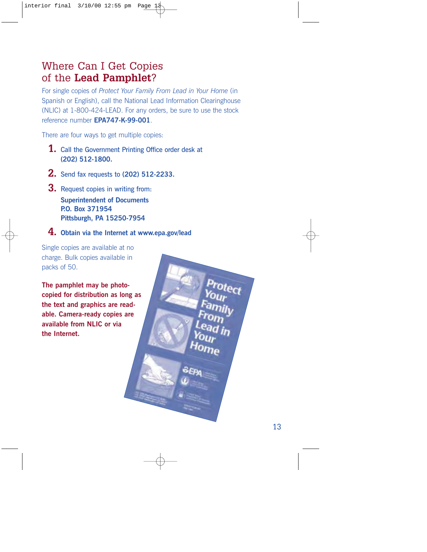### Where Can I Get Copies of the **Lead Pamphlet**?

For single copies of *Protect Your Family From Lead in Your Home* (in Spanish or English), call the National Lead Information Clearinghouse (NLIC) at 1-800-424-LEAD. For any orders, be sure to use the stock reference number **EPA747-K-99-001**.

There are four ways to get multiple copies:

- **1.** Call the Government Printing Office order desk at **(202) 512-1800.**
- **2.** Send fax requests to **(202) 512-2233.**
- **3.** Request copies in writing from: **Superintendent of Documents P.O. Box 371954 Pittsburgh, PA 15250-7954**
- **4. Obtain via the Internet at www.epa.gov/lead**

Single copies are available at no charge. Bulk copies available in packs of 50.

**The pamphlet may be photocopied for distribution as long as the text and graphics are readable. Camera-ready copies are available from NLIC or via the Internet.**